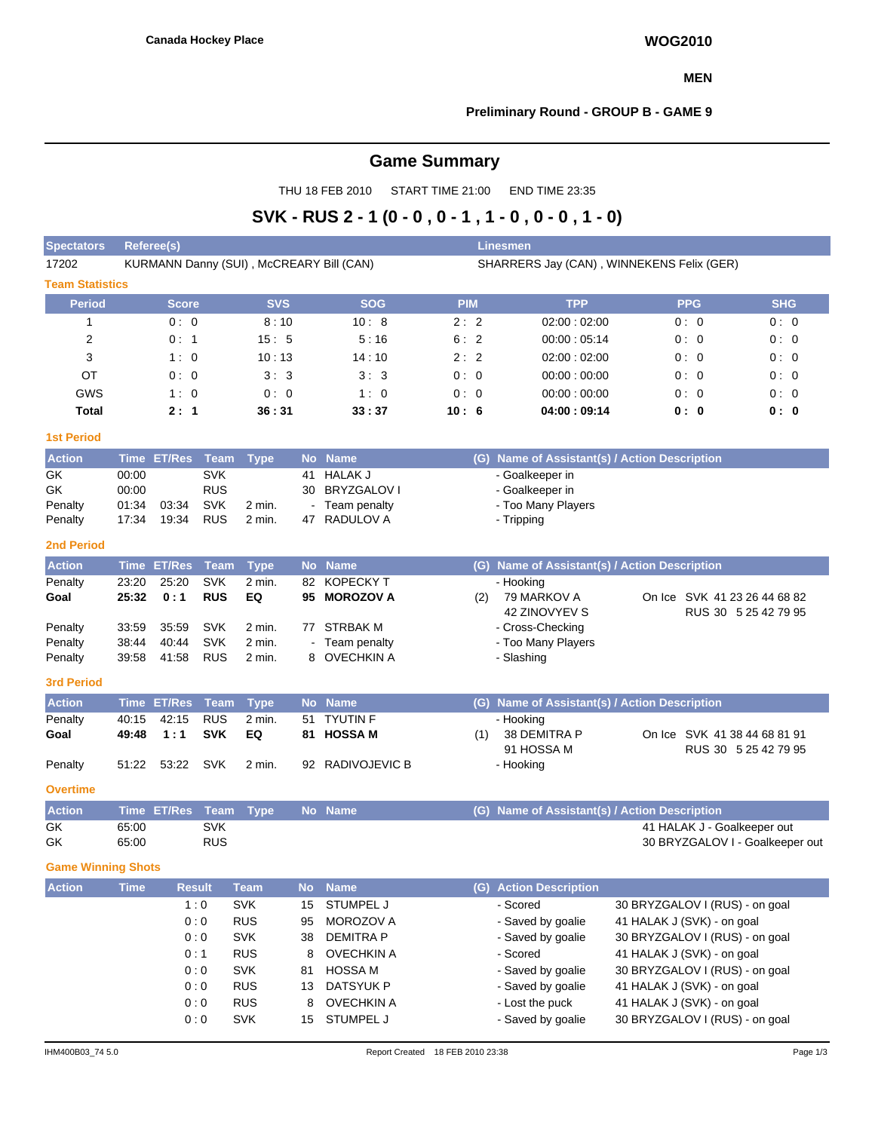#### **MEN**

### **Preliminary Round - GROUP B - GAME 9**

# **Game Summary**

THU 18 FEB 2010 START TIME 21:00 END TIME 23:35

# **SVK - RUS 2 - 1 (0 - 0 , 0 - 1 , 1 - 0 , 0 - 0 , 1 - 0)**

| <b>Spectators</b>         | Linesmen<br>Referee(s)                   |                    |                          |                          |           |                                      |            |     |                                               |                                                          |                                 |            |  |  |  |  |
|---------------------------|------------------------------------------|--------------------|--------------------------|--------------------------|-----------|--------------------------------------|------------|-----|-----------------------------------------------|----------------------------------------------------------|---------------------------------|------------|--|--|--|--|
| 17202                     | KURMANN Danny (SUI), McCREARY Bill (CAN) |                    |                          |                          |           |                                      |            |     | SHARRERS Jay (CAN), WINNEKENS Felix (GER)     |                                                          |                                 |            |  |  |  |  |
| <b>Team Statistics</b>    |                                          |                    |                          |                          |           |                                      |            |     |                                               |                                                          |                                 |            |  |  |  |  |
| <b>Period</b>             |                                          | <b>Score</b>       |                          | <b>SVS</b>               |           | <b>SOG</b>                           | <b>PIM</b> |     | <b>TPP</b>                                    |                                                          | <b>PPG</b>                      | <b>SHG</b> |  |  |  |  |
| $\mathbf{1}$              |                                          | 0:0                |                          | 8:10                     |           | 10:8                                 | 2:2        |     | 02:00:02:00                                   |                                                          | 0:0                             | 0:0        |  |  |  |  |
| 2                         |                                          | 0:1                |                          | 15:5                     |           | 5:16                                 | 6:2        |     | 00:00:05:14                                   |                                                          | 0:0                             | 0:0        |  |  |  |  |
| 3                         |                                          | 1:0                |                          | 10:13                    |           | 14:10                                | 2:2        |     | 02:00:02:00                                   |                                                          | 0:0                             | 0:0        |  |  |  |  |
| OT                        |                                          | 0:0                |                          | 3:3                      |           | 3:3                                  | 0:0        |     | 00:00:00:00                                   |                                                          | 0:0                             | 0:0        |  |  |  |  |
| GWS                       |                                          | 1:0                |                          | 0:0                      |           | 1:0                                  | 0:0        |     | 00:00:00:00                                   |                                                          | 0:0                             | 0:0        |  |  |  |  |
| <b>Total</b>              |                                          | 2:1                |                          | 36:31                    |           | 33:37                                | 10:6       |     | 04:00:09:14                                   |                                                          | 0: 0                            | 0:0        |  |  |  |  |
| <b>1st Period</b>         |                                          |                    |                          |                          |           |                                      |            |     |                                               |                                                          |                                 |            |  |  |  |  |
| <b>Action</b>             |                                          | Time ET/Res        | <b>Team</b>              | <b>Type</b>              |           | No Name                              |            |     | (G) Name of Assistant(s) / Action Description |                                                          |                                 |            |  |  |  |  |
| GK                        | 00:00                                    |                    | <b>SVK</b>               |                          | 41        | <b>HALAK J</b>                       |            |     | - Goalkeeper in                               |                                                          |                                 |            |  |  |  |  |
| GK                        | 00:00                                    |                    | <b>RUS</b>               |                          | 30        | <b>BRYZGALOV I</b>                   |            |     | - Goalkeeper in                               |                                                          |                                 |            |  |  |  |  |
| Penalty                   | 01:34<br>17:34                           | 03:34<br>19:34     | <b>SVK</b><br><b>RUS</b> | 2 min.<br>2 min.         | 47        | Team penalty<br>RADULOV A            |            |     | - Too Many Players<br>- Tripping              |                                                          |                                 |            |  |  |  |  |
| Penalty                   |                                          |                    |                          |                          |           |                                      |            |     |                                               |                                                          |                                 |            |  |  |  |  |
| <b>2nd Period</b>         |                                          |                    |                          |                          |           |                                      |            |     |                                               |                                                          |                                 |            |  |  |  |  |
| <b>Action</b>             | <b>Time</b>                              | <b>ET/Res</b>      | Team                     | <b>Type</b>              |           | No Name                              |            | (G) | Name of Assistant(s) / Action Description     |                                                          |                                 |            |  |  |  |  |
| Penalty<br>Goal           | 23:20<br>25:32                           | 25:20<br>0:1       | SVK<br><b>RUS</b>        | 2 min.<br>EQ             | 82<br>95  | <b>KOPECKY T</b><br><b>MOROZOV A</b> |            |     | - Hooking<br>79 MARKOV A                      |                                                          | On Ice SVK 41 23 26 44 68 82    |            |  |  |  |  |
|                           |                                          |                    |                          |                          |           |                                      |            | (2) | 42 ZINOVYEV S                                 |                                                          | RUS 30 5 25 42 79 95            |            |  |  |  |  |
| Penalty                   | 33:59                                    | 35:59              | <b>SVK</b>               | 2 min.                   | 77        | <b>STRBAK M</b>                      |            |     | - Cross-Checking                              |                                                          |                                 |            |  |  |  |  |
| Penalty                   | 38:44                                    | 40:44              | <b>SVK</b>               | 2 min.                   |           | Team penalty                         |            |     | - Too Many Players                            |                                                          |                                 |            |  |  |  |  |
| Penalty                   | 39:58                                    | 41:58              | <b>RUS</b>               | 2 min.                   |           | 8 OVECHKIN A                         |            |     | - Slashing                                    |                                                          |                                 |            |  |  |  |  |
| <b>3rd Period</b>         |                                          |                    |                          |                          |           |                                      |            |     |                                               |                                                          |                                 |            |  |  |  |  |
| <b>Action</b>             |                                          | <b>Time ET/Res</b> | <b>Team</b>              | <b>Type</b>              |           | No Name                              |            |     | (G) Name of Assistant(s) / Action Description |                                                          |                                 |            |  |  |  |  |
| Penalty                   | 40:15                                    | 42:15              | <b>RUS</b>               | 2 min.                   | 51        | <b>TYUTIN F</b>                      |            |     | - Hooking                                     |                                                          |                                 |            |  |  |  |  |
| Goal                      | 49:48                                    | 1:1                | <b>SVK</b>               | EQ                       | 81        | <b>HOSSA M</b>                       |            | (1) | 38 DEMITRA P                                  |                                                          | On Ice SVK 41 38 44 68 81 91    |            |  |  |  |  |
|                           |                                          |                    |                          |                          |           |                                      |            |     | 91 HOSSA M                                    |                                                          | RUS 30 5 25 42 79 95            |            |  |  |  |  |
| Penalty                   | 51:22                                    | 53:22              | <b>SVK</b>               | 2 min.                   |           | 92 RADIVOJEVIC B                     |            |     | - Hooking                                     |                                                          |                                 |            |  |  |  |  |
| <b>Overtime</b>           |                                          |                    |                          |                          |           |                                      |            |     |                                               |                                                          |                                 |            |  |  |  |  |
| <b>Action</b>             |                                          | <b>Time ET/Res</b> | Team                     | <b>Type</b>              |           | No Name                              |            |     | (G) Name of Assistant(s) / Action Description |                                                          |                                 |            |  |  |  |  |
| GK                        | 65:00                                    |                    | <b>SVK</b>               |                          |           |                                      |            |     |                                               |                                                          | 41 HALAK J - Goalkeeper out     |            |  |  |  |  |
| GK                        | 65:00                                    |                    | <b>RUS</b>               |                          |           |                                      |            |     |                                               |                                                          | 30 BRYZGALOV I - Goalkeeper out |            |  |  |  |  |
| <b>Game Winning Shots</b> |                                          |                    |                          |                          |           |                                      |            |     |                                               |                                                          |                                 |            |  |  |  |  |
| <b>Action</b>             | <b>Time</b>                              |                    | <b>Result</b>            | <b>Team</b>              | <b>No</b> | <b>Name</b>                          |            |     | (G) Action Description                        |                                                          |                                 |            |  |  |  |  |
|                           |                                          |                    | 1:0                      | <b>SVK</b>               | 15        | STUMPEL J                            |            |     | - Scored                                      |                                                          | 30 BRYZGALOV I (RUS) - on goal  |            |  |  |  |  |
|                           |                                          |                    | 0:0                      | <b>RUS</b>               | 95        | MOROZOV A                            |            |     | - Saved by goalie                             | 41 HALAK J (SVK) - on goal                               |                                 |            |  |  |  |  |
|                           |                                          |                    | 0:0                      | <b>SVK</b>               | 38        | <b>DEMITRA P</b>                     |            |     | - Saved by goalie                             |                                                          | 30 BRYZGALOV I (RUS) - on goal  |            |  |  |  |  |
|                           |                                          |                    | 0:1<br>0:0               | <b>RUS</b><br><b>SVK</b> | 8         | <b>OVECHKIN A</b><br><b>HOSSA M</b>  |            |     | - Scored                                      | 41 HALAK J (SVK) - on goal                               | 30 BRYZGALOV I (RUS) - on goal  |            |  |  |  |  |
|                           |                                          |                    | 0:0                      | <b>RUS</b>               | 81<br>13  | <b>DATSYUK P</b>                     |            |     | - Saved by goalie<br>- Saved by goalie        |                                                          |                                 |            |  |  |  |  |
|                           |                                          |                    | 0:0                      | <b>RUS</b>               | 8         | <b>OVECHKIN A</b>                    |            |     | - Lost the puck                               | 41 HALAK J (SVK) - on goal<br>41 HALAK J (SVK) - on goal |                                 |            |  |  |  |  |
|                           |                                          |                    | 0:0                      | <b>SVK</b>               | 15        | STUMPEL J                            |            |     | - Saved by goalie                             |                                                          | 30 BRYZGALOV I (RUS) - on goal  |            |  |  |  |  |
|                           |                                          |                    |                          |                          |           |                                      |            |     |                                               |                                                          |                                 |            |  |  |  |  |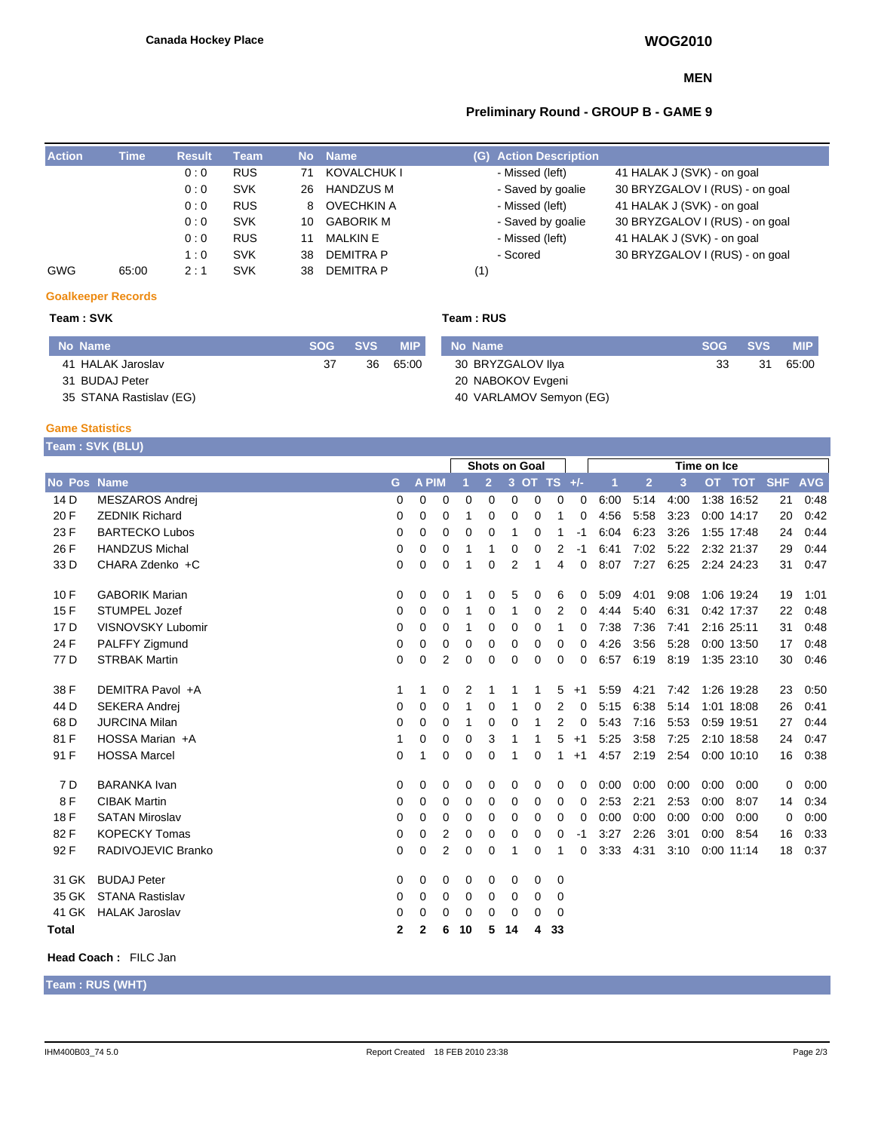#### **MEN**

## **Preliminary Round - GROUP B - GAME 9**

| <b>Action</b> | Time  | <b>Result</b> | <b>Team</b> | No. | <b>Name</b>       | <b>Action Description</b><br>(G) |                                |
|---------------|-------|---------------|-------------|-----|-------------------|----------------------------------|--------------------------------|
|               |       | 0:0           | <b>RUS</b>  | 71  | KOVALCHUK I       | - Missed (left)                  | 41 HALAK J (SVK) - on goal     |
|               |       | 0:0           | <b>SVK</b>  | 26  | <b>HANDZUS M</b>  | - Saved by goalie                | 30 BRYZGALOV I (RUS) - on goal |
|               |       | 0:0           | <b>RUS</b>  | 8.  | <b>OVECHKIN A</b> | - Missed (left)                  | 41 HALAK J (SVK) - on goal     |
|               |       | 0:0           | <b>SVK</b>  | 10  | <b>GABORIK M</b>  | - Saved by goalie                | 30 BRYZGALOV I (RUS) - on goal |
|               |       | 0:0           | <b>RUS</b>  |     | <b>MALKIN E</b>   | - Missed (left)                  | 41 HALAK J (SVK) - on goal     |
|               |       | 1:0           | <b>SVK</b>  | 38  | <b>DEMITRA P</b>  | - Scored                         | 30 BRYZGALOV I (RUS) - on goal |
| <b>GWG</b>    | 65:00 | 2:1           | <b>SVK</b>  | 38  | <b>DEMITRA P</b>  | (1)                              |                                |

### **Goalkeeper Records**

I

#### **Team : SVK Team : RUS**

| No Name                 | SOG SVS |    | <b>MIP</b> | No Name                 | SOG SVS |    | <b>MIP</b> |
|-------------------------|---------|----|------------|-------------------------|---------|----|------------|
| 41 HALAK Jaroslav       | 37      | 36 | 65:00      | 30 BRYZGALOV IIya       | 33      | 31 | 65:00      |
| 31 BUDAJ Peter          |         |    |            | 20 NABOKOV Evgeni       |         |    |            |
| 35 STANA Rastislav (EG) |         |    |            | 40 VARLAMOV Semyon (EG) |         |    |            |

#### **Game Statistics**

|                    | Team : SVK (BLU)         |                      |              |                |          |                |                |             |             |          |      |                |      |      |              |            |            |
|--------------------|--------------------------|----------------------|--------------|----------------|----------|----------------|----------------|-------------|-------------|----------|------|----------------|------|------|--------------|------------|------------|
|                    |                          | <b>Shots on Goal</b> |              |                |          |                |                | Time on Ice |             |          |      |                |      |      |              |            |            |
| <b>No Pos Name</b> |                          | G                    | <b>A PIM</b> |                |          | $\overline{2}$ | 3 <sup>°</sup> |             | OT TS $+/-$ |          | 1    | $\overline{2}$ | 3    | OT.  | <b>TOT</b>   | <b>SHF</b> | <b>AVG</b> |
| 14 <sub>D</sub>    | <b>MESZAROS Andrej</b>   | 0                    | 0            | 0              | 0        | 0              | 0              | 0           | 0           | 0        | 6:00 | 5:14           | 4:00 |      | 1:38 16:52   | 21         | 0:48       |
| 20 F               | <b>ZEDNIK Richard</b>    | 0                    | 0            | 0              | 1        | 0              | 0              | 0           | 1           | 0        | 4:56 | 5:58           | 3:23 |      | 0:00 14:17   | 20         | 0:42       |
| 23 F               | <b>BARTECKO Lubos</b>    | 0                    | 0            | 0              | 0        | 0              | 1              | 0           | 1           | $-1$     | 6:04 | 6:23           | 3:26 |      | 1:55 17:48   | 24         | 0:44       |
| 26 F               | <b>HANDZUS Michal</b>    | 0                    | 0            | 0              | 1        | 1              | 0              | 0           | 2           | $-1$     | 6:41 | 7:02           | 5:22 |      | 2:32 21:37   | 29         | 0:44       |
| 33 D               | CHARA Zdenko +C          | 0                    | 0            | 0              | 1        | 0              | 2              | 1           | 4           | 0        | 8:07 | 7:27           | 6:25 |      | 2:24 24:23   | 31         | 0.47       |
| 10F                | <b>GABORIK Marian</b>    | 0                    | 0            | 0              |          | 0              | 5              | 0           | 6           | 0        | 5:09 | 4:01           | 9:08 |      | 1:06 19:24   | 19         | 1:01       |
| 15F                | <b>STUMPEL Jozef</b>     | 0                    | 0            | 0              | 1        | 0              | 1              | 0           | 2           | 0        | 4:44 | 5:40           | 6:31 |      | 0:42 17:37   | 22         | 0:48       |
| 17 D               | <b>VISNOVSKY Lubomir</b> | 0                    | $\Omega$     | 0              | 1        | 0              | 0              | 0           | 1           | 0        | 7:38 | 7:36           | 7:41 |      | 2:16 25:11   | 31         | 0:48       |
| 24 F               | PALFFY Zigmund           | 0                    | 0            | 0              | 0        | 0              | 0              | 0           | 0           | 0        | 4:26 | 3:56           | 5:28 |      | 0:00 13:50   | 17         | 0:48       |
| 77 D               | <b>STRBAK Martin</b>     | 0                    | 0            | $\overline{2}$ | 0        | 0              | 0              | $\Omega$    | 0           | 0        | 6:57 | 6:19           | 8:19 |      | 1:35 23:10   | 30         | 0.46       |
| 38 F               | DEMITRA Pavol +A         | 1                    | 1            | 0              | 2        |                | 1              | 1           | 5           | $+1$     | 5:59 | 4:21           | 7:42 |      | 1:26 19:28   | 23         | 0:50       |
| 44 D               | <b>SEKERA Andrej</b>     | 0                    | $\Omega$     | $\Omega$       | 1        | 0              | 1              | $\Omega$    | 2           | 0        | 5:15 | 6:38           | 5:14 |      | 1:01 18:08   | 26         | 0:41       |
| 68 D               | <b>JURCINA Milan</b>     | 0                    | $\Omega$     | 0              | 1        | 0              | 0              | 1           | 2           | 0        | 5:43 | 7:16           | 5:53 |      | 0:59 19:51   | 27         | 0:44       |
| 81 F               | HOSSA Marian +A          | 1                    | 0            | 0              | 0        | 3              | 1              | 1           | 5           | $+1$     | 5:25 | 3:58           | 7:25 |      | 2:10 18:58   | 24         | 0:47       |
| 91 F               | <b>HOSSA Marcel</b>      | 0                    | 1            | $\Omega$       | 0        | 0              | 1              | $\Omega$    | 1           | $+1$     | 4:57 | 2:19           | 2.54 |      | 0:00 10:10   | 16         | 0:38       |
| 7 D                | <b>BARANKA</b> Ivan      | 0                    | 0            | 0              | 0        | 0              | 0              | 0           | 0           | 0        | 0:00 | 0:00           | 0:00 | 0:00 | 0:00         | 0          | 0:00       |
| 8F                 | <b>CIBAK Martin</b>      | 0                    | $\Omega$     | $\Omega$       | 0        | 0              | 0              | 0           | 0           | 0        | 2:53 | 2:21           | 2:53 | 0:00 | 8:07         | 14         | 0:34       |
| 18 F               | <b>SATAN Miroslav</b>    | 0                    | $\Omega$     | $\Omega$       | $\Omega$ | 0              | 0              | $\Omega$    | $\Omega$    | $\Omega$ | 0:00 | 0:00           | 0:00 | 0:00 | 0:00         | $\Omega$   | 0:00       |
| 82F                | <b>KOPECKY Tomas</b>     | 0                    | 0            | $\overline{2}$ | 0        | 0              | 0              | 0           | 0           | $-1$     | 3:27 | 2:26           | 3:01 | 0:00 | 8:54         | 16         | 0:33       |
| 92 F               | RADIVOJEVIC Branko       | 0                    | 0            | 2              | 0        | 0              | 1              | 0           | 1           | 0        | 3:33 | 4:31           | 3:10 |      | $0:00$ 11:14 | 18         | 0:37       |
| 31 GK              | <b>BUDAJ Peter</b>       | 0                    | 0            | 0              | 0        | 0              | 0              | 0           | 0           |          |      |                |      |      |              |            |            |
| 35 GK              | <b>STANA Rastislav</b>   | 0                    | $\Omega$     | 0              | 0        | 0              | 0              | 0           | 0           |          |      |                |      |      |              |            |            |
| 41 GK              | <b>HALAK Jaroslav</b>    | 0                    | 0            | 0              | 0        | 0              | 0              | 0           | 0           |          |      |                |      |      |              |            |            |
| <b>Total</b>       |                          | $\mathbf{2}$         | 2            | 6              | 10       | 5              | 14             | 4           | 33          |          |      |                |      |      |              |            |            |

#### **Head Coach :** FILC Jan

**Team : RUS (WHT)**